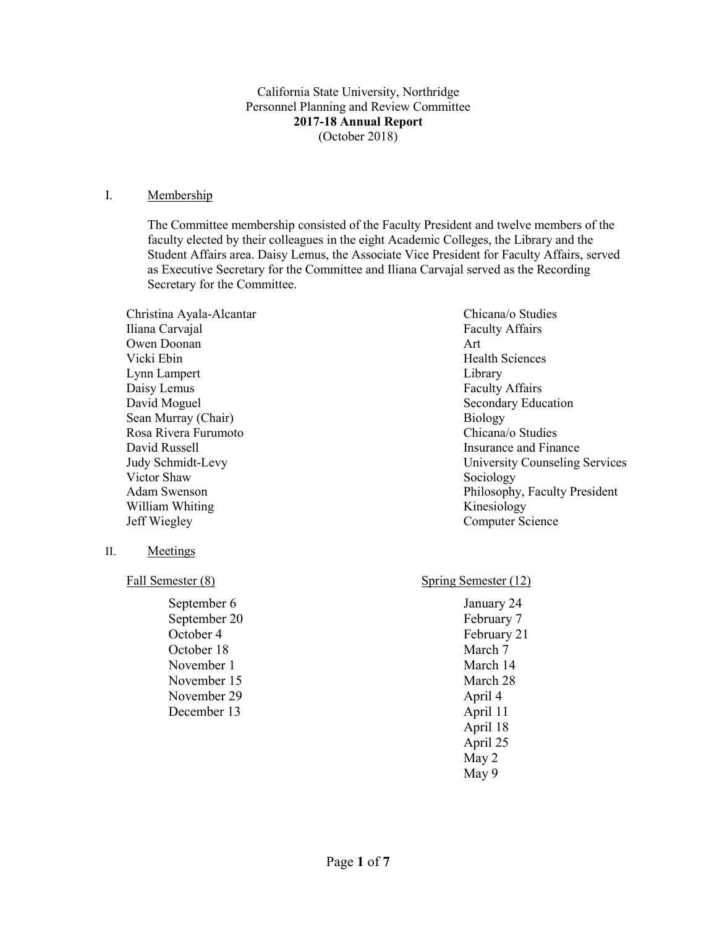California State University, Northridge Personnel Planning and Review Committee **2017-18 Annual Report** (October 2018)

#### I. Membership

The Committee membership consisted of the Faculty President and twelve members of the faculty elected by their colleagues in the eight Academic Colleges, the Library and the Student Affairs area. Daisy Lemus, the Associate Vice President for Faculty Affairs, served as Executive Secretary for the Committee and Iliana Carvajal served as the Recording Secretary for the Committee.

Christina Ayala-Alcantar Chicana/o Studies Iliana Carvajal Faculty Affairs Owen Doonan Art Vicki Ebin **Health** Sciences **Health** Sciences Lynn Lampert Library Daisy Lemus Faculty Affairs David Moguel **Secondary Education** Secondary Education Sean Murray (Chair)<br>
Rosa Rivera Furumoto<br>
Chicana/o Studies<br>
Chicana/o Studies Rosa Rivera Furumoto David Russell **Insurance and Finance** David Russell Victor Shaw Sociology William Whiting Kinesiology Jeff Wiegley Computer Science

- II. Meetings
	- Fall Semester (8)

September 6 September 20 October 4 October 18 November 1 November 15 November 29 December 13

Judy Schmidt-Levy University Counseling Services Adam Swenson **Philosophy, Faculty President** Philosophy, Faculty President

Spring Semester (12)

January 24 February 7 February 21 March 7 March 14 March 28 April 4 April 11 April 18 April 25 May 2 May 9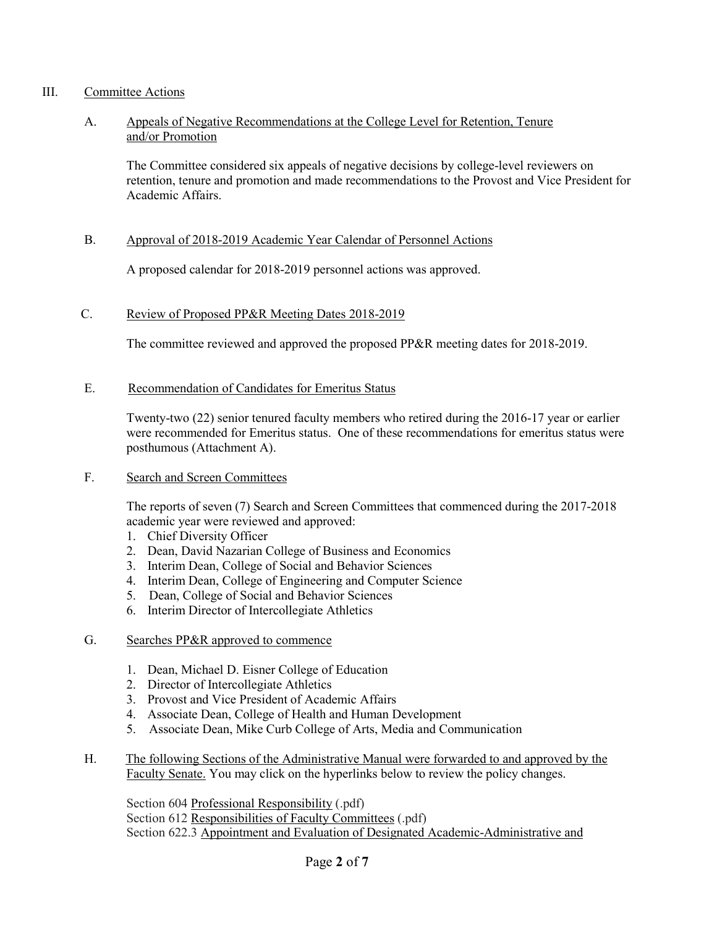### III. Committee Actions

### A. Appeals of Negative Recommendations at the College Level for Retention, Tenure and/or Promotion

The Committee considered six appeals of negative decisions by college-level reviewers on retention, tenure and promotion and made recommendations to the Provost and Vice President for Academic Affairs.

### B. Approval of 2018-2019 Academic Year Calendar of Personnel Actions

A proposed calendar for 2018-2019 personnel actions was approved.

#### C. Review of Proposed PP&R Meeting Dates 2018-2019

The committee reviewed and approved the proposed PP&R meeting dates for 2018-2019.

#### E. Recommendation of Candidates for Emeritus Status

Twenty-two (22) senior tenured faculty members who retired during the 2016-17 year or earlier were recommended for Emeritus status. One of these recommendations for emeritus status were posthumous (Attachment A).

#### F. Search and Screen Committees

The reports of seven (7) Search and Screen Committees that commenced during the 2017-2018 academic year were reviewed and approved:

- 1. Chief Diversity Officer
- 2. Dean, David Nazarian College of Business and Economics
- 3. Interim Dean, College of Social and Behavior Sciences
- 4. Interim Dean, College of Engineering and Computer Science
- 5. Dean, College of Social and Behavior Sciences
- 6. Interim Director of Intercollegiate Athletics
- G. Searches PP&R approved to commence
	- 1. Dean, Michael D. Eisner College of Education
	- 2. Director of Intercollegiate Athletics
	- 3. Provost and Vice President of Academic Affairs
	- 4. Associate Dean, College of Health and Human Development
	- 5. Associate Dean, Mike Curb College of Arts, Media and Communication
- H. The following Sections of the Administrative Manual were forwarded to and approved by the Faculty Senate. You may click on the hyperlinks below to review the policy changes.

Section 604 [Professional Responsibility](https://www.csun.edu/sites/default/files/section%20604-professional%20responsibility.pdf) (.pdf) Section 612 [Responsibilities of Faculty Committees](https://www.csun.edu/sites/default/files/section%20612-respons-faculty%20comm.pdf) (.pdf) Section 622.3 [Appointment and Evaluation of Designated Academic-Administrative and](https://www.csun.edu/sites/default/files/section%20622.3-appt-eval-academic%20admin%20and%20admin%20employees_1.pdf)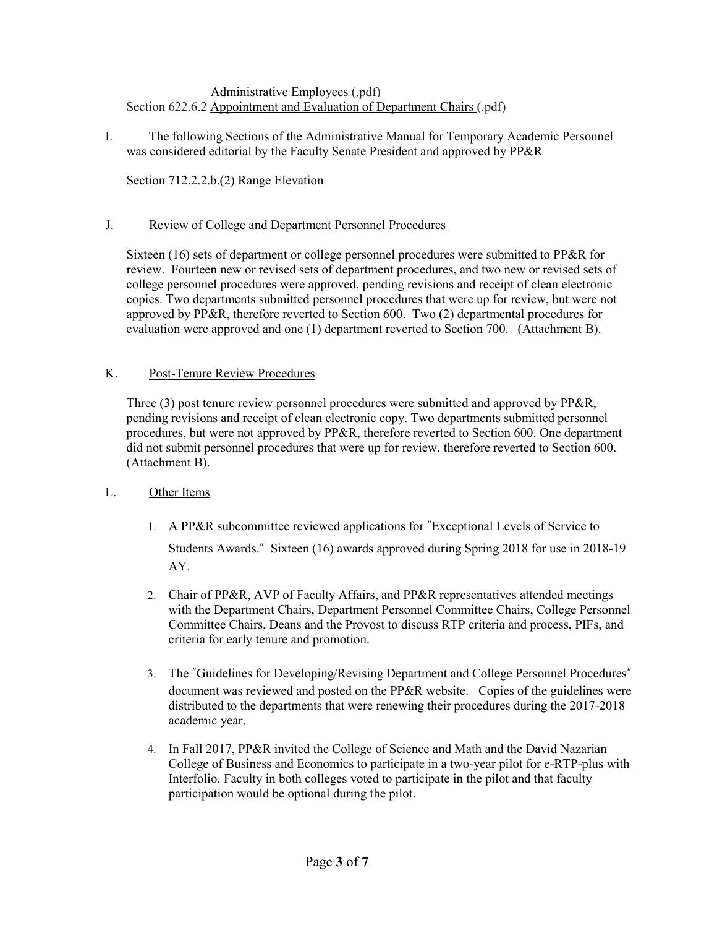## [Administrative Employees](https://www.csun.edu/sites/default/files/section%20622.3-appt-eval-academic%20admin%20and%20admin%20employees_1.pdf) (.pdf) Section 622.6.2 [Appointment and Evaluation of Department Chairs](https://www.csun.edu/sites/default/files/section%20622.6.2-appt-eval-dept-chairs_0.pdf) (.pdf)

## I. The following Sections of the Administrative Manual for Temporary Academic Personnel was considered editorial by the Faculty Senate President and approved by PP&R

Section 712.2.2.b.(2) Range Elevation

# J. Review of College and Department Personnel Procedures

Sixteen (16) sets of department or college personnel procedures were submitted to PP&R for review. Fourteen new or revised sets of department procedures, and two new or revised sets of college personnel procedures were approved, pending revisions and receipt of clean electronic copies. Two departments submitted personnel procedures that were up for review, but were not approved by PP&R, therefore reverted to Section 600. Two (2) departmental procedures for evaluation were approved and one (1) department reverted to Section 700. (Attachment B).

# K. Post-Tenure Review Procedures

Three (3) post tenure review personnel procedures were submitted and approved by PP&R, pending revisions and receipt of clean electronic copy. Two departments submitted personnel procedures, but were not approved by PP&R, therefore reverted to Section 600. One department did not submit personnel procedures that were up for review, therefore reverted to Section 600. (Attachment B).

## L. Other Items

- 1. A PP&R subcommittee reviewed applications for "Exceptional Levels of Service to Students Awards." Sixteen (16) awards approved during Spring 2018 for use in 2018-19 AY.
- 2. Chair of PP&R, AVP of Faculty Affairs, and PP&R representatives attended meetings with the Department Chairs, Department Personnel Committee Chairs, College Personnel Committee Chairs, Deans and the Provost to discuss RTP criteria and process, PIFs, and criteria for early tenure and promotion.
- 3. The "Guidelines for Developing/Revising Department and College Personnel Procedures" document was reviewed and posted on the PP&R website. Copies of the guidelines were distributed to the departments that were renewing their procedures during the 2017-2018 academic year.
- 4. In Fall 2017, PP&R invited the College of Science and Math and the David Nazarian College of Business and Economics to participate in a two-year pilot for e-RTP-plus with Interfolio. Faculty in both colleges voted to participate in the pilot and that faculty participation would be optional during the pilot.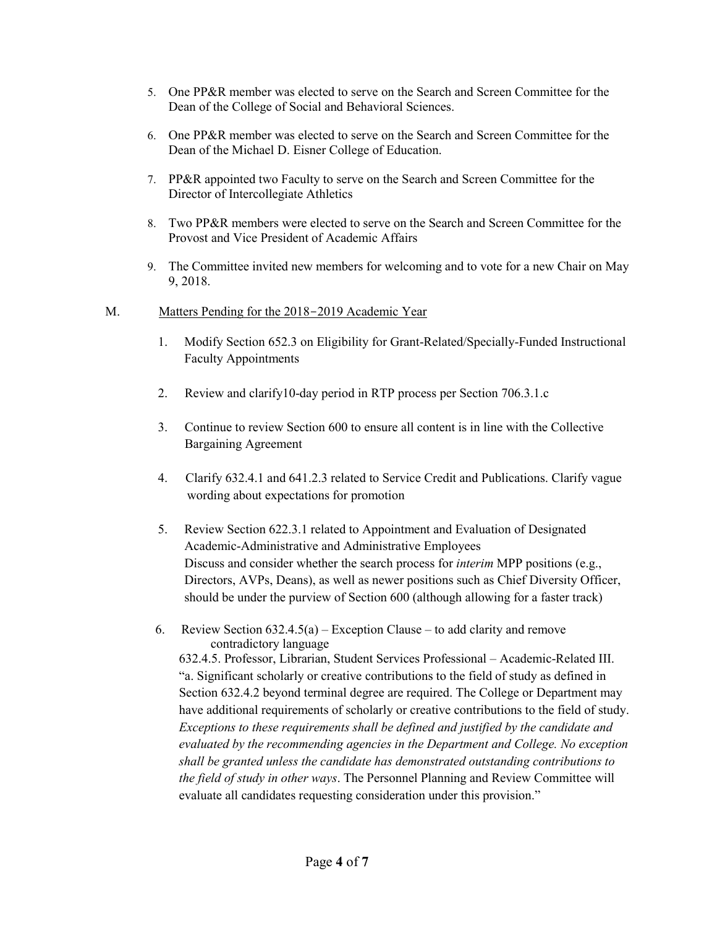- 5. One PP&R member was elected to serve on the Search and Screen Committee for the Dean of the College of Social and Behavioral Sciences.
- 6. One PP&R member was elected to serve on the Search and Screen Committee for the Dean of the Michael D. Eisner College of Education.
- 7. PP&R appointed two Faculty to serve on the Search and Screen Committee for the Director of Intercollegiate Athletics
- 8. Two PP&R members were elected to serve on the Search and Screen Committee for the Provost and Vice President of Academic Affairs
- 9. The Committee invited new members for welcoming and to vote for a new Chair on May 9, 2018.
- M. Matters Pending for the 2018–2019 Academic Year
	- 1. Modify Section 652.3 on Eligibility for Grant-Related/Specially-Funded Instructional Faculty Appointments
	- 2. Review and clarify10-day period in RTP process per Section 706.3.1.c
	- 3. Continue to review Section 600 to ensure all content is in line with the Collective Bargaining Agreement
	- 4. Clarify 632.4.1 and 641.2.3 related to Service Credit and Publications. Clarify vague wording about expectations for promotion
	- 5. Review Section 622.3.1 related to Appointment and Evaluation of Designated Academic-Administrative and Administrative Employees Discuss and consider whether the search process for *interim* MPP positions (e.g., Directors, AVPs, Deans), as well as newer positions such as Chief Diversity Officer, should be under the purview of Section 600 (although allowing for a faster track)
	- 6. Review Section  $632.4.5(a)$  Exception Clause to add clarity and remove contradictory language

632.4.5. Professor, Librarian, Student Services Professional – Academic-Related III. "a. Significant scholarly or creative contributions to the field of study as defined in Section 632.4.2 beyond terminal degree are required. The College or Department may have additional requirements of scholarly or creative contributions to the field of study. *Exceptions to these requirements shall be defined and justified by the candidate and evaluated by the recommending agencies in the Department and College. No exception shall be granted unless the candidate has demonstrated outstanding contributions to the field of study in other ways*. The Personnel Planning and Review Committee will evaluate all candidates requesting consideration under this provision."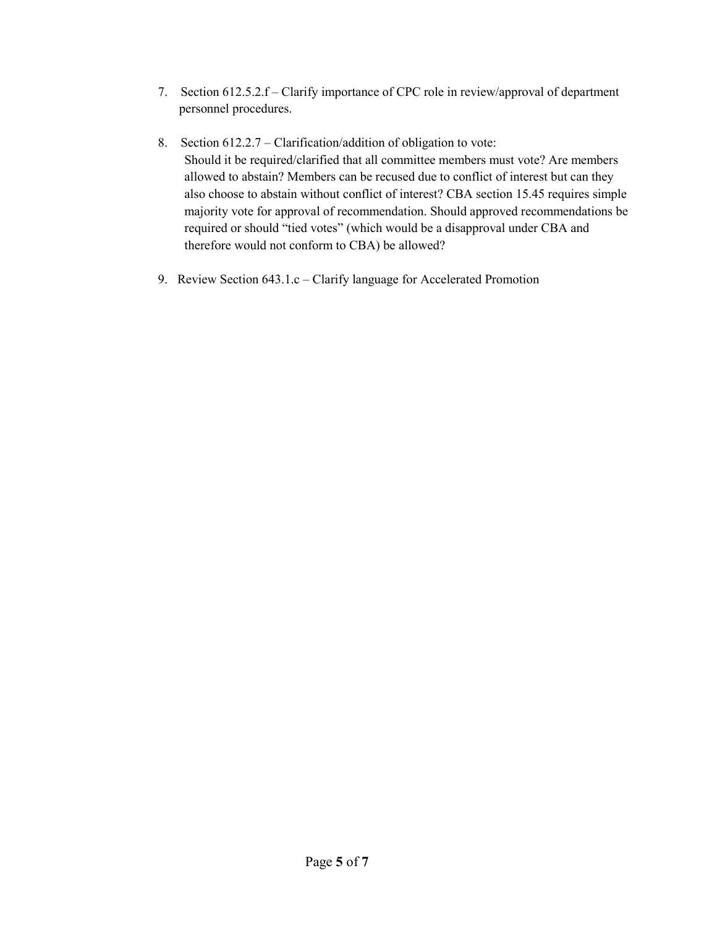- 7. Section 612.5.2.f Clarify importance of CPC role in review/approval of department personnel procedures.
- 8. Section 612.2.7 Clarification/addition of obligation to vote: Should it be required/clarified that all committee members must vote? Are members allowed to abstain? Members can be recused due to conflict of interest but can they also choose to abstain without conflict of interest? CBA section 15.45 requires simple majority vote for approval of recommendation. Should approved recommendations be required or should "tied votes" (which would be a disapproval under CBA and therefore would not conform to CBA) be allowed?
- 9. Review Section 643.1.c Clarify language for Accelerated Promotion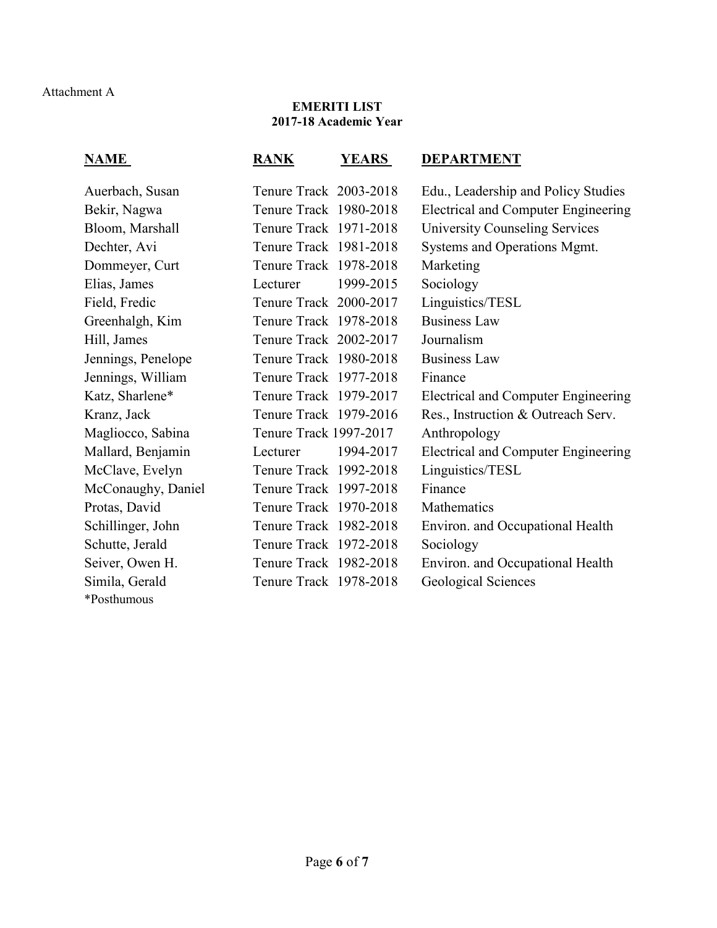### **EMERITI LIST 2017-18 Academic Year**

| NAME               | <b>RANK</b><br>YEARS   | <b>DEPARTMENT</b>                          |
|--------------------|------------------------|--------------------------------------------|
| Auerbach, Susan    | Tenure Track 2003-2018 | Edu., Leadership and Policy Studies        |
| Bekir, Nagwa       | Tenure Track 1980-2018 | <b>Electrical and Computer Engineering</b> |
| Bloom, Marshall    | Tenure Track 1971-2018 | <b>University Counseling Services</b>      |
| Dechter, Avi       | Tenure Track 1981-2018 | Systems and Operations Mgmt.               |
| Dommeyer, Curt     | Tenure Track 1978-2018 | Marketing                                  |
| Elias, James       | 1999-2015<br>Lecturer  | Sociology                                  |
| Field, Fredic      | Tenure Track 2000-2017 | Linguistics/TESL                           |
| Greenhalgh, Kim    | Tenure Track 1978-2018 | <b>Business Law</b>                        |
| Hill, James        | Tenure Track 2002-2017 | Journalism                                 |
| Jennings, Penelope | Tenure Track 1980-2018 | <b>Business Law</b>                        |
| Jennings, William  | Tenure Track 1977-2018 | Finance                                    |
| Katz, Sharlene*    | Tenure Track 1979-2017 | <b>Electrical and Computer Engineering</b> |
| Kranz, Jack        | Tenure Track 1979-2016 | Res., Instruction & Outreach Serv.         |
| Magliocco, Sabina  | Tenure Track 1997-2017 | Anthropology                               |
| Mallard, Benjamin  | 1994-2017<br>Lecturer  | <b>Electrical and Computer Engineering</b> |
| McClave, Evelyn    | Tenure Track 1992-2018 | Linguistics/TESL                           |
| McConaughy, Daniel | Tenure Track 1997-2018 | Finance                                    |
| Protas, David      | Tenure Track 1970-2018 | Mathematics                                |
| Schillinger, John  | Tenure Track 1982-2018 | Environ. and Occupational Health           |
| Schutte, Jerald    | Tenure Track 1972-2018 | Sociology                                  |
| Seiver, Owen H.    | Tenure Track 1982-2018 | Environ. and Occupational Health           |
| Simila, Gerald     | Tenure Track 1978-2018 | Geological Sciences                        |
| *Posthumous        |                        |                                            |